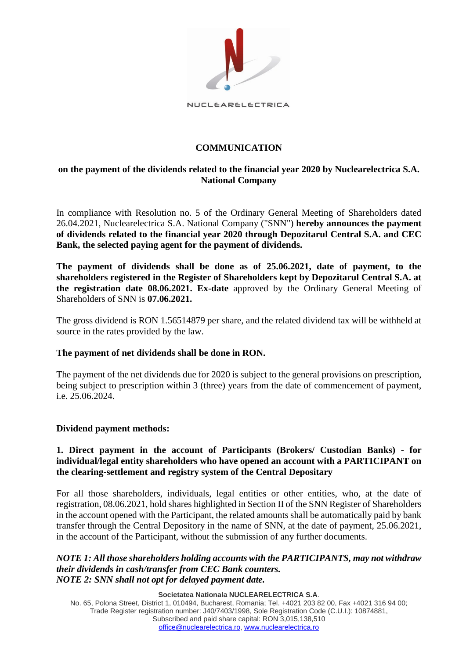

NUCLEARELECTRICA

# **COMMUNICATION**

# **on the payment of the dividends related to the financial year 2020 by Nuclearelectrica S.A. National Company**

In compliance with Resolution no. 5 of the Ordinary General Meeting of Shareholders dated 26.04.2021, Nuclearelectrica S.A. National Company ("SNN") **hereby announces the payment of dividends related to the financial year 2020 through Depozitarul Central S.A. and CEC Bank, the selected paying agent for the payment of dividends.**

**The payment of dividends shall be done as of 25.06.2021, date of payment, to the shareholders registered in the Register of Shareholders kept by Depozitarul Central S.A. at the registration date 08.06.2021. Ex-date** approved by the Ordinary General Meeting of Shareholders of SNN is **07.06.2021.** 

The gross dividend is RON 1.56514879 per share, and the related dividend tax will be withheld at source in the rates provided by the law.

# **The payment of net dividends shall be done in RON.**

The payment of the net dividends due for 2020 is subject to the general provisions on prescription, being subject to prescription within 3 (three) years from the date of commencement of payment, i.e. 25.06.2024.

#### **Dividend payment methods:**

### **1. Direct payment in the account of Participants (Brokers/ Custodian Banks) - for individual/legal entity shareholders who have opened an account with a PARTICIPANT on the clearing-settlement and registry system of the Central Depositary**

For all those shareholders, individuals, legal entities or other entities, who, at the date of registration, 08.06.2021, hold shares highlighted in Section II of the SNN Register of Shareholders in the account opened with the Participant, the related amounts shall be automatically paid by bank transfer through the Central Depository in the name of SNN, at the date of payment, 25.06.2021, in the account of the Participant, without the submission of any further documents.

#### *NOTE 1: All those shareholders holding accounts with the PARTICIPANTS, may not withdraw their dividends in cash/transfer from CEC Bank counters. NOTE 2: SNN shall not opt for delayed payment date.*

**Societatea Nationala NUCLEARELECTRICA S.A**.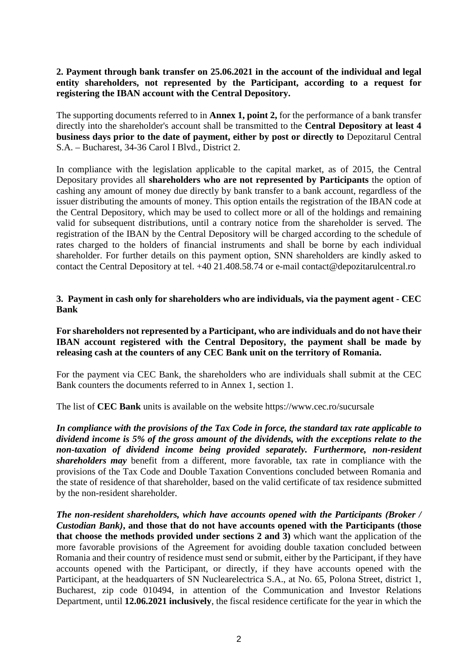## **2. Payment through bank transfer on 25.06.2021 in the account of the individual and legal entity shareholders, not represented by the Participant, according to a request for registering the IBAN account with the Central Depository.**

The supporting documents referred to in **Annex 1, point 2,** for the performance of a bank transfer directly into the shareholder's account shall be transmitted to the **Central Depository at least 4 business days prior to the date of payment, either by post or directly to** Depozitarul Central S.A. – Bucharest, 34-36 Carol I Blvd., District 2.

In compliance with the legislation applicable to the capital market, as of 2015, the Central Depositary provides all **shareholders who are not represented by Participants** the option of cashing any amount of money due directly by bank transfer to a bank account, regardless of the issuer distributing the amounts of money. This option entails the registration of the IBAN code at the Central Depository, which may be used to collect more or all of the holdings and remaining valid for subsequent distributions, until a contrary notice from the shareholder is served. The registration of the IBAN by the Central Depository will be charged according to the schedule of rates charged to the holders of financial instruments and shall be borne by each individual shareholder. For further details on this payment option, SNN shareholders are kindly asked to contact the Central Depository at tel. +40 21.408.58.74 or e-mail contact@depozitarulcentral.ro

## **3. Payment in cash only for shareholders who are individuals, via the payment agent - CEC Bank**

### **For shareholders not represented by a Participant, who are individuals and do not have their IBAN account registered with the Central Depository, the payment shall be made by releasing cash at the counters of any CEC Bank unit on the territory of Romania.**

For the payment via CEC Bank, the shareholders who are individuals shall submit at the CEC Bank counters the documents referred to in Annex 1, section 1.

The list of **CEC Bank** units is available on the website https://www.cec.ro/sucursale

*In compliance with the provisions of the Tax Code in force, the standard tax rate applicable to dividend income is 5% of the gross amount of the dividends, with the exceptions relate to the non-taxation of dividend income being provided separately. Furthermore, non-resident shareholders may* benefit from a different, more favorable, tax rate in compliance with the provisions of the Tax Code and Double Taxation Conventions concluded between Romania and the state of residence of that shareholder, based on the valid certificate of tax residence submitted by the non-resident shareholder.

*The non-resident shareholders, which have accounts opened with the Participants (Broker / Custodian Bank)***, and those that do not have accounts opened with the Participants (those that choose the methods provided under sections 2 and 3)** which want the application of the more favorable provisions of the Agreement for avoiding double taxation concluded between Romania and their country of residence must send or submit, either by the Participant, if they have accounts opened with the Participant, or directly, if they have accounts opened with the Participant, at the headquarters of SN Nuclearelectrica S.A., at No. 65, Polona Street, district 1, Bucharest, zip code 010494, in attention of the Communication and Investor Relations Department, until **12.06.2021 inclusively**, the fiscal residence certificate for the year in which the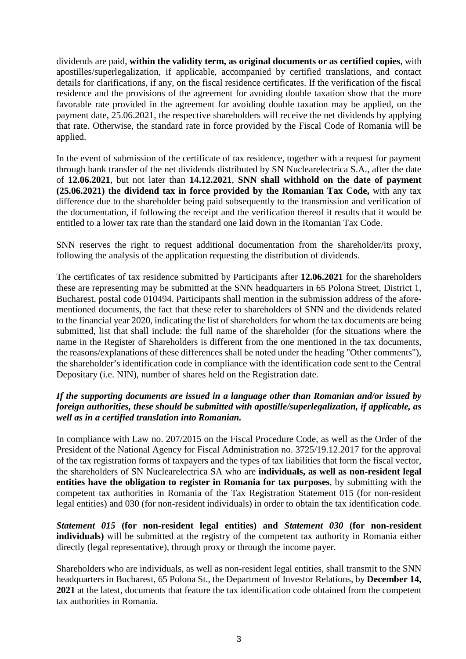dividends are paid, **within the validity term, as original documents or as certified copies**, with apostilles/superlegalization, if applicable, accompanied by certified translations, and contact details for clarifications, if any, on the fiscal residence certificates. If the verification of the fiscal residence and the provisions of the agreement for avoiding double taxation show that the more favorable rate provided in the agreement for avoiding double taxation may be applied, on the payment date, 25.06.2021, the respective shareholders will receive the net dividends by applying that rate. Otherwise, the standard rate in force provided by the Fiscal Code of Romania will be applied.

In the event of submission of the certificate of tax residence, together with a request for payment through bank transfer of the net dividends distributed by SN Nuclearelectrica S.A., after the date of **12.06.2021**, but not later than **14.12.2021**, **SNN shall withhold on the date of payment (25.06.2021) the dividend tax in force provided by the Romanian Tax Code,** with any tax difference due to the shareholder being paid subsequently to the transmission and verification of the documentation, if following the receipt and the verification thereof it results that it would be entitled to a lower tax rate than the standard one laid down in the Romanian Tax Code.

SNN reserves the right to request additional documentation from the shareholder/its proxy, following the analysis of the application requesting the distribution of dividends.

The certificates of tax residence submitted by Participants after **12.06.2021** for the shareholders these are representing may be submitted at the SNN headquarters in 65 Polona Street, District 1, Bucharest, postal code 010494. Participants shall mention in the submission address of the aforementioned documents, the fact that these refer to shareholders of SNN and the dividends related to the financial year 2020, indicating the list of shareholders for whom the tax documents are being submitted, list that shall include: the full name of the shareholder (for the situations where the name in the Register of Shareholders is different from the one mentioned in the tax documents, the reasons/explanations of these differences shall be noted under the heading "Other comments"), the shareholder's identification code in compliance with the identification code sent to the Central Depositary (i.e. NIN), number of shares held on the Registration date.

# *If the supporting documents are issued in a language other than Romanian and/or issued by foreign authorities, these should be submitted with apostille/superlegalization, if applicable, as well as in a certified translation into Romanian.*

In compliance with Law no. 207/2015 on the Fiscal Procedure Code, as well as the Order of the President of the National Agency for Fiscal Administration no. 3725/19.12.2017 for the approval of the tax registration forms of taxpayers and the types of tax liabilities that form the fiscal vector, the shareholders of SN Nuclearelectrica SA who are **individuals, as well as non-resident legal entities have the obligation to register in Romania for tax purposes**, by submitting with the competent tax authorities in Romania of the Tax Registration Statement 015 (for non-resident legal entities) and 030 (for non-resident individuals) in order to obtain the tax identification code.

*Statement 015* **(for non-resident legal entities) and** *Statement 030* **(for non-resident individuals)** will be submitted at the registry of the competent tax authority in Romania either directly (legal representative), through proxy or through the income payer.

Shareholders who are individuals, as well as non-resident legal entities, shall transmit to the SNN headquarters in Bucharest, 65 Polona St., the Department of Investor Relations, by **December 14, 2021** at the latest, documents that feature the tax identification code obtained from the competent tax authorities in Romania.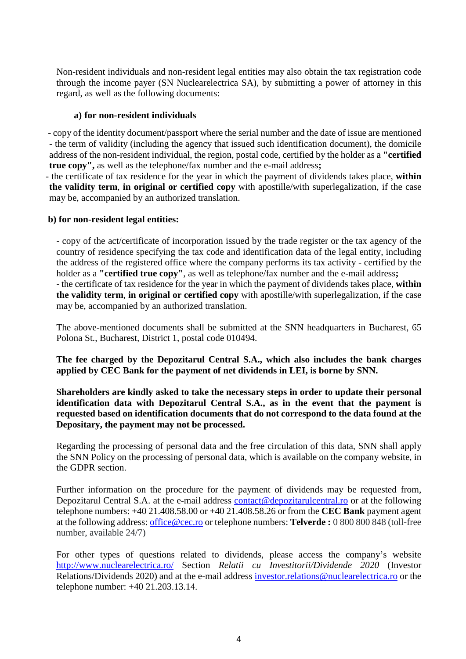Non-resident individuals and non-resident legal entities may also obtain the tax registration code through the income payer (SN Nuclearelectrica SA), by submitting a power of attorney in this regard, as well as the following documents:

#### **a) for non-resident individuals**

- copy of the identity document/passport where the serial number and the date of issue are mentioned - the term of validity (including the agency that issued such identification document), the domicile address of the non-resident individual, the region, postal code, certified by the holder as a **"certified true copy",** as well as the telephone/fax number and the e-mail address**;**

- the certificate of tax residence for the year in which the payment of dividends takes place, **within the validity term**, **in original or certified copy** with apostille/with superlegalization, if the case may be, accompanied by an authorized translation.

### **b) for non-resident legal entities:**

- copy of the act/certificate of incorporation issued by the trade register or the tax agency of the country of residence specifying the tax code and identification data of the legal entity, including the address of the registered office where the company performs its tax activity - certified by the holder as a **"certified true copy"**, as well as telephone/fax number and the e-mail address**;** - the certificate of tax residence for the year in which the payment of dividends takes place, **within the validity term**, **in original or certified copy** with apostille/with superlegalization, if the case may be, accompanied by an authorized translation.

The above-mentioned documents shall be submitted at the SNN headquarters in Bucharest, 65 Polona St., Bucharest, District 1, postal code 010494.

**The fee charged by the Depozitarul Central S.A., which also includes the bank charges applied by CEC Bank for the payment of net dividends in LEI, is borne by SNN.**

**Shareholders are kindly asked to take the necessary steps in order to update their personal identification data with Depozitarul Central S.A., as in the event that the payment is requested based on identification documents that do not correspond to the data found at the Depositary, the payment may not be processed.**

Regarding the processing of personal data and the free circulation of this data, SNN shall apply the SNN Policy on the processing of personal data, which is available on the company website, in the GDPR section.

Further information on the procedure for the payment of dividends may be requested from, Depozitarul Central S.A. at the e-mail address [contact@depozitarulcentral.ro](mailto:dividende@depozitarulcentral.ro) or at the following telephone numbers: +40 21.408.58.00 or +40 21.408.58.26 or from the **CEC Bank** payment agent at the following address: [office@cec.ro](mailto:office@cec.ro) or telephone numbers: **Telverde :** 0 800 800 848 (toll-free number, available 24/7)

For other types of questions related to dividends, please access the company's website <http://www.nuclearelectrica.ro/> Section *Relatii cu Investitorii/Dividende 2020* (Investor Relations/Dividends 2020) and at the e-mail address [investor.relations@nuclearelectrica.ro](mailto:investors.relations@nuclearelectrica.ro) or the telephone number: +40 21.203.13.14.